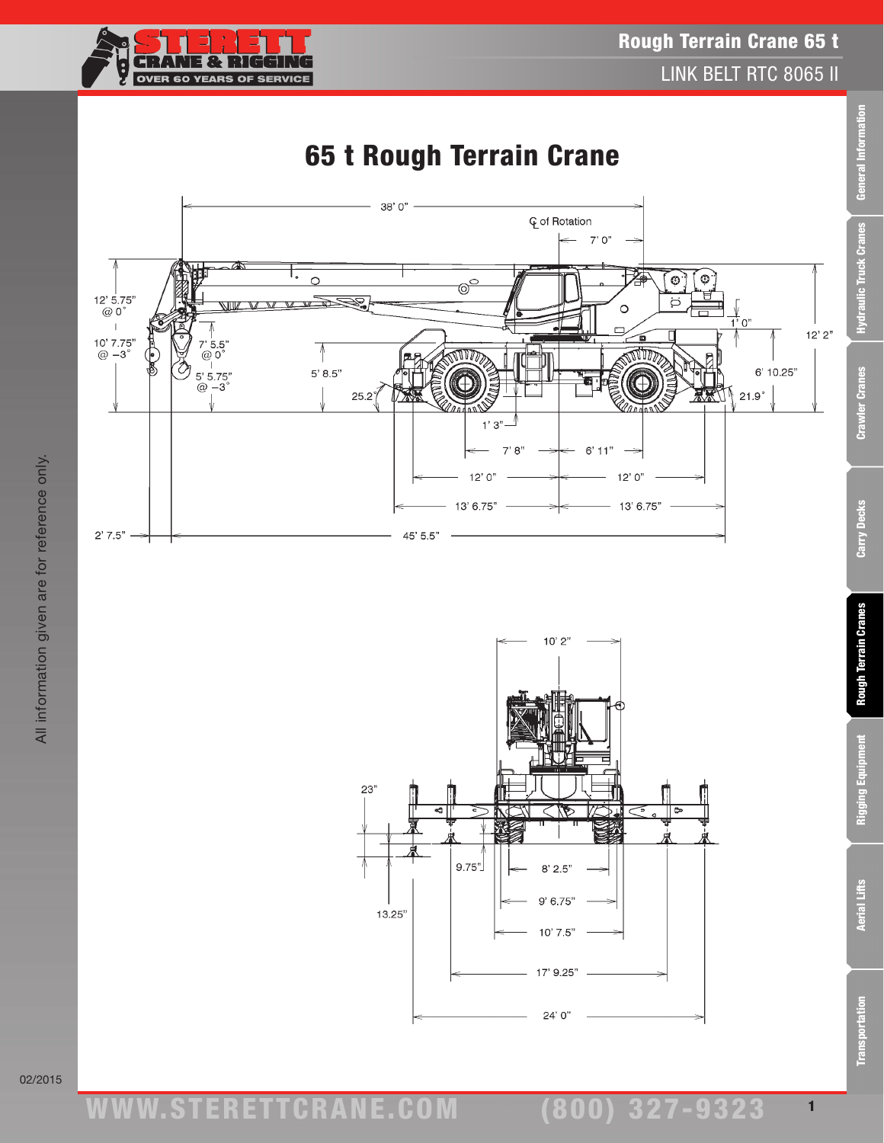





02/2015

ww.TDKv.com www.STERETTCRAnE.Com

(800) 327-9323 1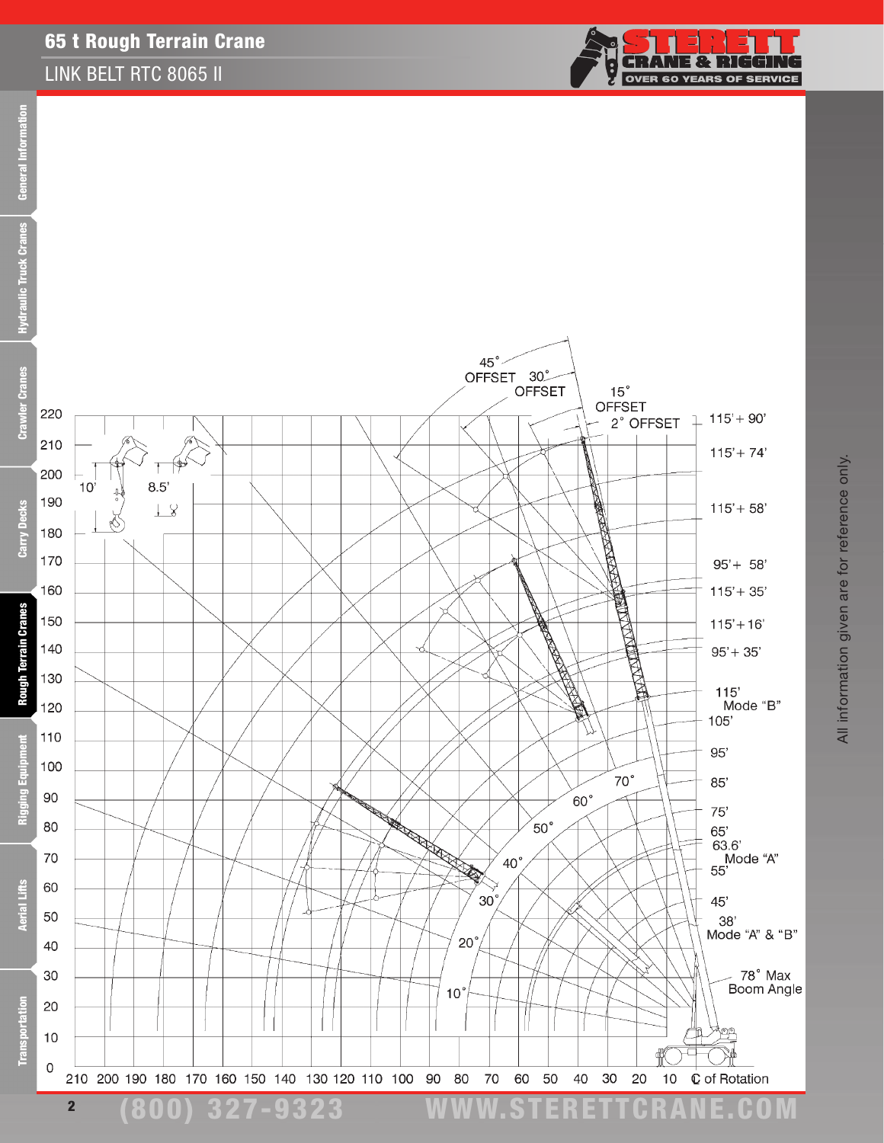### 65 t Rough Terrain Crane

### LINK BELT RTC 8065 II



(800) 327-9323 www.STERETTCRAnE.Com



2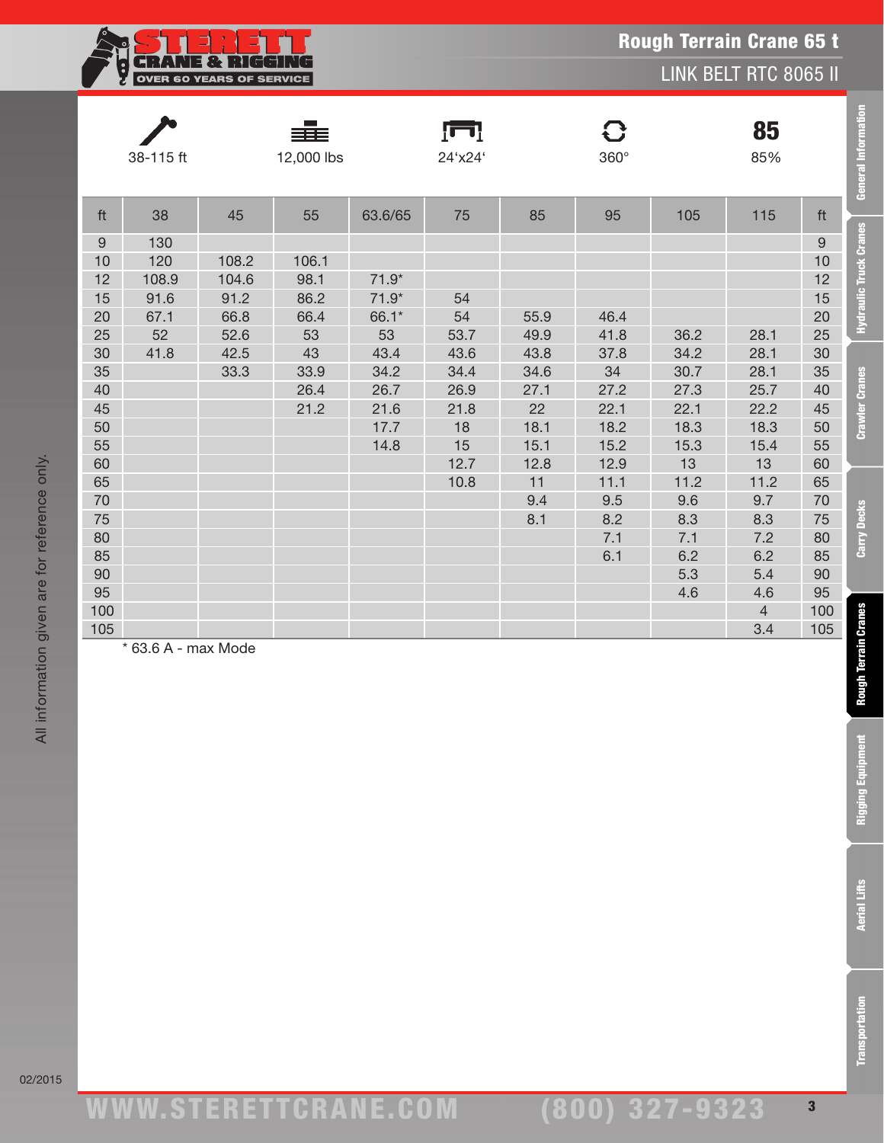| - 1<br>182 L                    |
|---------------------------------|
| <b>OVER 60 YEARS OF SERVICE</b> |
|                                 |

LINK BELT RTC 8065 II

|                  | 38-115 ft           |              | 12,000 lbs |            | 24'x24'      |              | $360^\circ$ |              | 85<br>85%      |                  | <b>General Information</b>    |
|------------------|---------------------|--------------|------------|------------|--------------|--------------|-------------|--------------|----------------|------------------|-------------------------------|
| ft               | 38                  | 45           | 55         | 63.6/65    | 75           | 85           | 95          | 105          | 115            | ft               |                               |
| $\boldsymbol{9}$ | 130                 |              |            |            |              |              |             |              |                | $\boldsymbol{9}$ | <b>Hydraulic Truck Cranes</b> |
| 10               | 120                 | 108.2        | 106.1      |            |              |              |             |              |                | 10               |                               |
| 12               | 108.9               | 104.6        | 98.1       | $71.9*$    |              |              |             |              |                | 12               |                               |
| 15               | 91.6                | 91.2         | 86.2       | $71.9*$    | 54           |              |             |              |                | 15               |                               |
| 20               | 67.1                | 66.8         | 66.4       | 66.1*      | 54           | 55.9         | 46.4        |              |                | 20               |                               |
| 25<br>30         | 52                  | 52.6<br>42.5 | 53<br>43   | 53<br>43.4 | 53.7<br>43.6 | 49.9<br>43.8 | 41.8        | 36.2         | 28.1<br>28.1   | 25               |                               |
| 35               | 41.8                | 33.3         | 33.9       | 34.2       | 34.4         | 34.6         | 37.8<br>34  | 34.2<br>30.7 | 28.1           | 30<br>35         |                               |
| 40               |                     |              | 26.4       | 26.7       | 26.9         | 27.1         | 27.2        | 27.3         | 25.7           | 40               | <b>Crawler Cranes</b>         |
| 45               |                     |              | 21.2       | 21.6       | 21.8         | 22           | 22.1        | 22.1         | 22.2           | 45               |                               |
| 50               |                     |              |            | 17.7       | 18           | 18.1         | 18.2        | 18.3         | 18.3           | 50               |                               |
| 55               |                     |              |            | 14.8       | 15           | 15.1         | 15.2        | 15.3         | 15.4           | 55               |                               |
| 60               |                     |              |            |            | 12.7         | 12.8         | 12.9        | 13           | 13             | 60               |                               |
| 65               |                     |              |            |            | 10.8         | 11           | 11.1        | 11.2         | 11.2           | 65               |                               |
| 70               |                     |              |            |            |              | 9.4          | 9.5         | 9.6          | 9.7            | 70               |                               |
| 75               |                     |              |            |            |              | 8.1          | 8.2         | 8.3          | 8.3            | 75               | <b>Carry Decks</b>            |
| 80               |                     |              |            |            |              |              | 7.1         | 7.1          | 7.2            | 80               |                               |
| 85               |                     |              |            |            |              |              | 6.1         | 6.2          | 6.2            | 85               |                               |
| 90               |                     |              |            |            |              |              |             | 5.3          | 5.4            | 90               |                               |
| 95               |                     |              |            |            |              |              |             | 4.6          | 4.6            | 95               |                               |
| 100              |                     |              |            |            |              |              |             |              | $\overline{4}$ | 100              |                               |
| 105              | * 63.6 A - max Mode |              |            |            |              |              |             |              | 3.4            | 105              |                               |
|                  |                     |              |            |            |              |              |             |              |                |                  | <b>Rough Terrain Cranes</b>   |
|                  |                     |              |            |            |              |              |             |              |                |                  | <b>Rigging Equipment</b>      |
|                  |                     |              |            |            |              |              |             |              |                |                  | <b>Aerial Lifts</b>           |
|                  |                     |              |            |            |              |              |             |              |                |                  | <b>Transportation</b>         |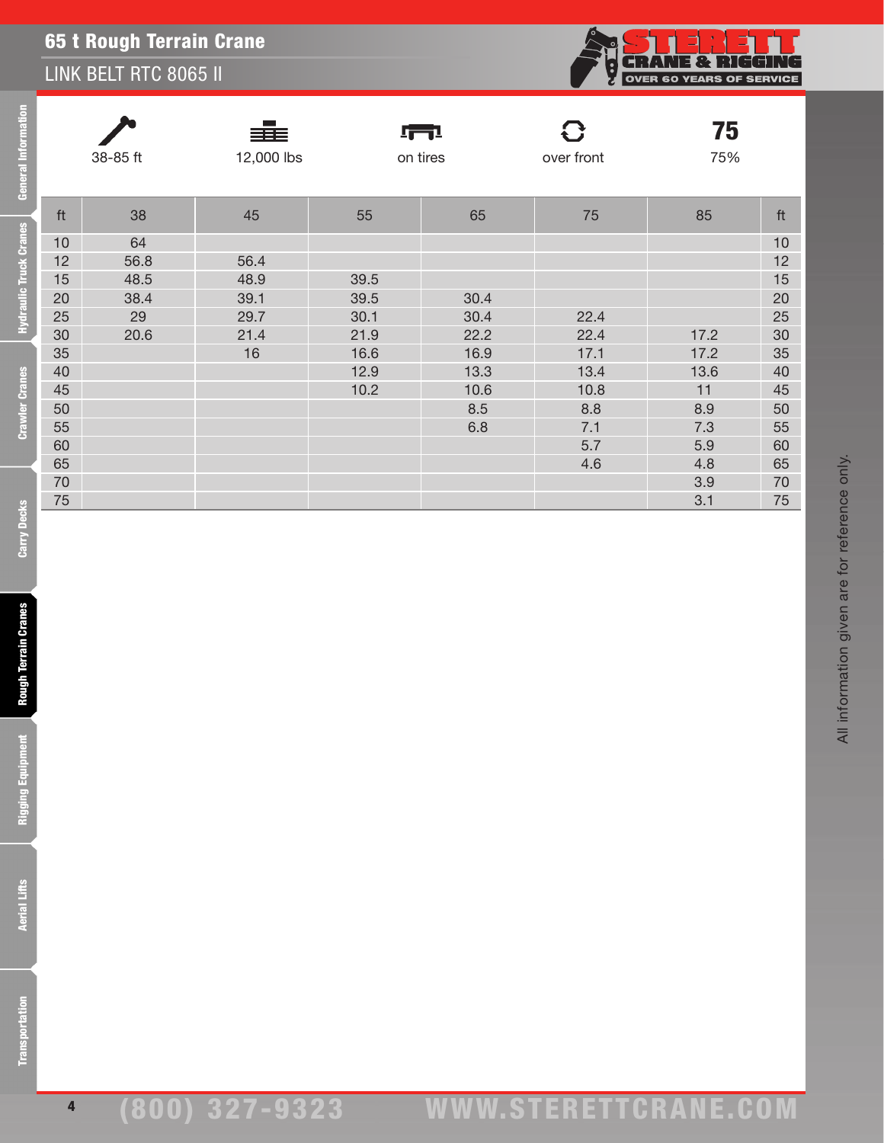## LINK BELT RTC 8065 II



All information given are for reference only.

All information given are for reference only.

|    | 38-85 ft | ≡≡≡<br>12,000 lbs |      | <u> 1771 </u><br>on tires | over front | 75<br>75% |    |
|----|----------|-------------------|------|---------------------------|------------|-----------|----|
| ft | 38       | 45                | 55   | 65                        | 75         | 85        | ft |
| 10 | 64       |                   |      |                           |            |           | 10 |
| 12 | 56.8     | 56.4              |      |                           |            |           | 12 |
| 15 | 48.5     | 48.9              | 39.5 |                           |            |           | 15 |
| 20 | 38.4     | 39.1              | 39.5 | 30.4                      |            |           | 20 |
| 25 | 29       | 29.7              | 30.1 | 30.4                      | 22.4       |           | 25 |
| 30 | 20.6     | 21.4              | 21.9 | 22.2                      | 22.4       | 17.2      | 30 |
| 35 |          | 16                | 16.6 | 16.9                      | 17.1       | 17.2      | 35 |
| 40 |          |                   | 12.9 | 13.3                      | 13.4       | 13.6      | 40 |
| 45 |          |                   | 10.2 | 10.6                      | 10.8       | 11        | 45 |
| 50 |          |                   |      | 8.5                       | 8.8        | 8.9       | 50 |
| 55 |          |                   |      | 6.8                       | 7.1        | 7.3       | 55 |
| 60 |          |                   |      |                           | 5.7        | 5.9       | 60 |
| 65 |          |                   |      |                           | 4.6        | 4.8       | 65 |
| 70 |          |                   |      |                           |            | 3.9       | 70 |
| 75 |          |                   |      |                           |            | 3.1       | 75 |

lie Truck

Hydrau

4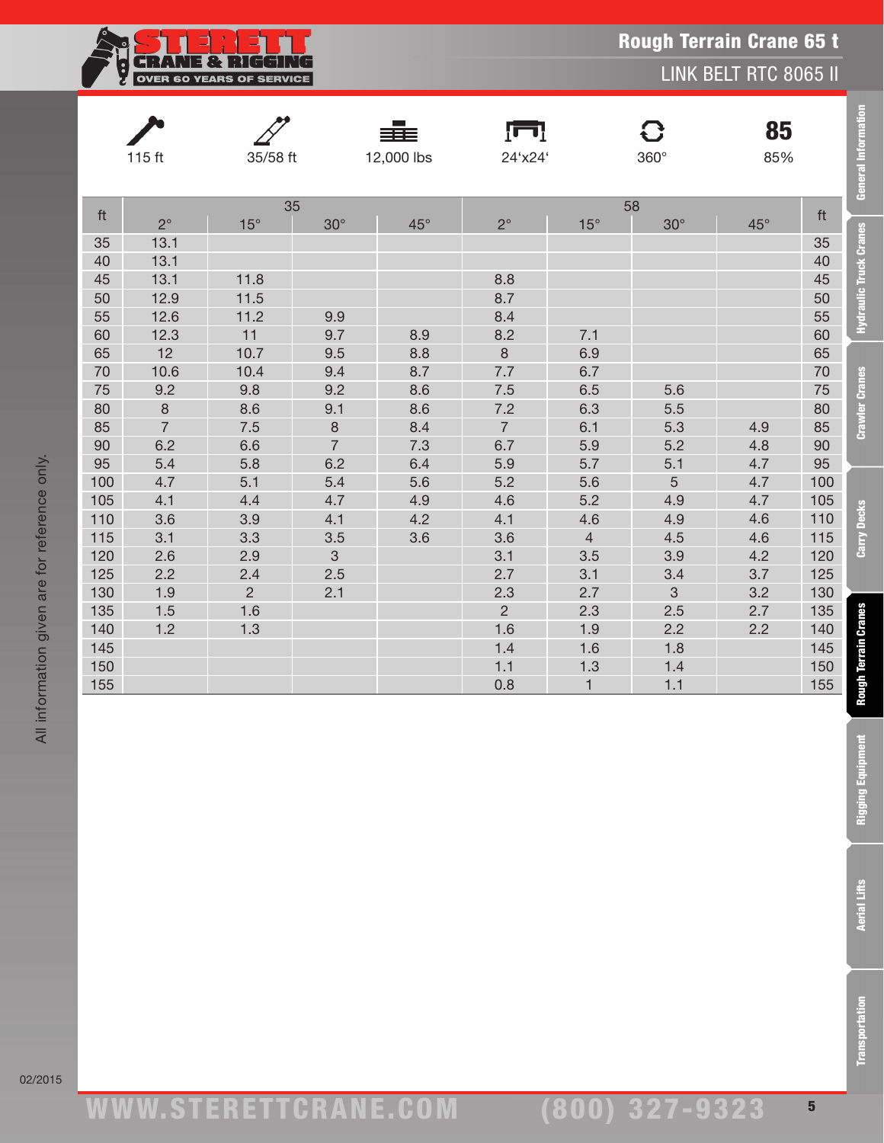

LINK BELT RTC 8065 II

| <b>General Information</b>    |     | 85<br>85%    | 8<br>$360^\circ$ |                | Ţп<br>24'x24'    | ≡≣≡<br>12,000 lbs |                | 35/58 ft         | $115$ ft       |     |
|-------------------------------|-----|--------------|------------------|----------------|------------------|-------------------|----------------|------------------|----------------|-----|
|                               | ft  | $45^{\circ}$ | 58<br>$30^\circ$ | $15^\circ$     | $2^{\circ}$      | $45^{\circ}$      | $30^\circ$     | 35<br>$15^\circ$ | $2^{\circ}$    | ft  |
| <b>Hydraulic Truck Cranes</b> | 35  |              |                  |                |                  |                   |                |                  | 13.1           | 35  |
|                               | 40  |              |                  |                |                  |                   |                |                  | 13.1           | 40  |
|                               | 45  |              |                  |                | 8.8              |                   |                | 11.8             | 13.1           | 45  |
|                               | 50  |              |                  |                | 8.7              |                   |                | 11.5             | 12.9           | 50  |
|                               | 55  |              |                  |                | 8.4              |                   | 9.9            | 11.2             | 12.6           | 55  |
|                               | 60  |              |                  | 7.1            | 8.2              | 8.9               | 9.7            | 11               | 12.3           | 60  |
|                               | 65  |              |                  | 6.9            | $\boldsymbol{8}$ | 8.8               | 9.5            | 10.7             | 12             | 65  |
|                               | 70  |              |                  | 6.7            | 7.7              | 8.7               | 9.4            | 10.4             | 10.6           | 70  |
| <b>Crawler Cranes</b>         | 75  |              | 5.6              | 6.5            | 7.5              | 8.6               | 9.2            | 9.8              | 9.2            | 75  |
|                               | 80  |              | 5.5              | 6.3            | 7.2              | 8.6               | 9.1            | 8.6              | $\,8\,$        | 80  |
|                               | 85  | 4.9          | 5.3              | 6.1            | $\overline{7}$   | 8.4               | $\,8\,$        | 7.5              | $\overline{7}$ | 85  |
|                               | 90  | 4.8          | 5.2              | 5.9            | 6.7              | 7.3               | $\overline{7}$ | 6.6              | 6.2            | 90  |
|                               | 95  | 4.7          | 5.1              | 5.7            | 5.9              | 6.4               | 6.2            | 5.8              | 5.4            | 95  |
|                               | 100 | 4.7          | 5                | 5.6            | 5.2              | 5.6               | 5.4            | 5.1              | 4.7            | 100 |
|                               | 105 | 4.7          | 4.9              | 5.2            | 4.6              | 4.9               | 4.7            | 4.4              | 4.1            | 105 |
|                               | 110 | 4.6          | 4.9              | 4.6            | 4.1              | 4.2               | 4.1            | 3.9              | 3.6            | 110 |
| Carry Decks                   | 115 | 4.6          | 4.5              | $\overline{4}$ | 3.6              | 3.6               | 3.5            | 3.3              | 3.1            | 115 |
|                               | 120 | 4.2          | 3.9              | 3.5            | 3.1              |                   | $\mathfrak{S}$ | 2.9              | 2.6            | 120 |
|                               | 125 | 3.7          | 3.4              | 3.1            | 2.7              |                   | 2.5            | 2.4              | 2.2            | 125 |
|                               | 130 | 3.2          | 3                | 2.7            | 2.3              |                   | 2.1            | $\overline{2}$   | 1.9            | 130 |
|                               | 135 | 2.7          | 2.5              | 2.3            | $\overline{2}$   |                   |                | 1.6              | 1.5            | 135 |
|                               | 140 | 2.2          | 2.2              | 1.9            | 1.6              |                   |                | 1.3              | 1.2            | 140 |
|                               | 145 |              | 1.8              | 1.6            | 1.4              |                   |                |                  |                | 145 |
|                               | 150 |              | 1.4              | 1.3            | 1.1              |                   |                |                  |                | 150 |
| Rough Terrain Cranes          | 155 |              | 1.1              | $\mathbf{1}$   | 0.8              |                   |                |                  |                | 155 |
|                               |     |              |                  |                |                  |                   |                |                  |                |     |